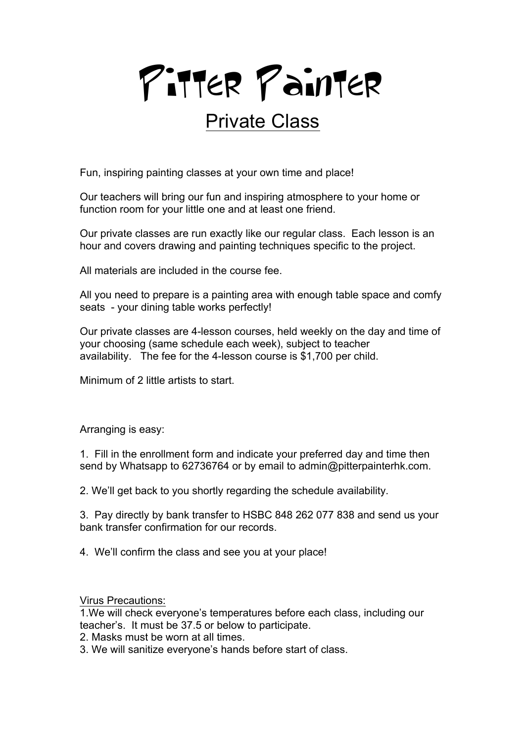

## Private Class

Fun, inspiring painting classes at your own time and place!

Our teachers will bring our fun and inspiring atmosphere to your home or function room for your little one and at least one friend.

Our private classes are run exactly like our regular class. Each lesson is an hour and covers drawing and painting techniques specific to the project.

All materials are included in the course fee.

All you need to prepare is a painting area with enough table space and comfy seats - your dining table works perfectly!

Our private classes are 4-lesson courses, held weekly on the day and time of your choosing (same schedule each week), subject to teacher availability. The fee for the 4-lesson course is \$1,700 per child.

Minimum of 2 little artists to start.

Arranging is easy:

1. Fill in the enrollment form and indicate your preferred day and time then send by Whatsapp to 62736764 or by email to admin@pitterpainterhk.com.

2. We'll get back to you shortly regarding the schedule availability.

3. Pay directly by bank transfer to HSBC 848 262 077 838 and send us your bank transfer confirmation for our records.

4. We'll confirm the class and see you at your place!

Virus Precautions:

1.We will check everyone's temperatures before each class, including our teacher's. It must be 37.5 or below to participate.

2. Masks must be worn at all times.

3. We will sanitize everyone's hands before start of class.